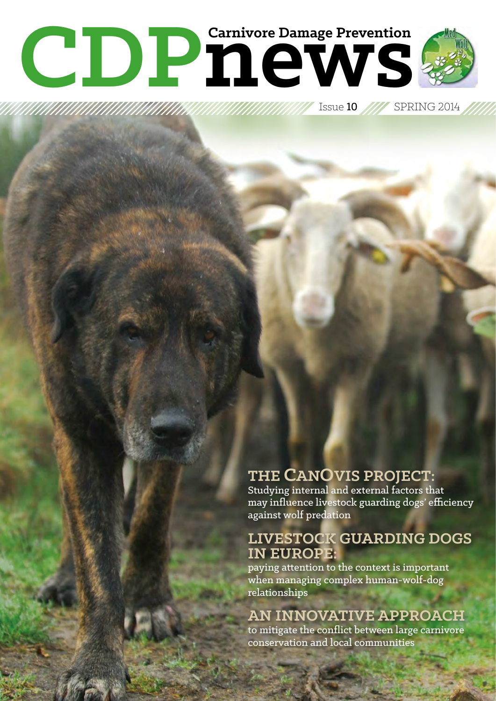# **CDPDP** Carnivore Damage Prevention **Carnivore Damage Prevention**

Issue 10 SPRING 2014

# **THE CANOVIS PROJECT:**

Studying internal and external factors that may influence livestock guarding dogs' efficiency against wolf predation

# **LIVESTOCK GUARDING DOGS IN EUROPE:**

paying attention to the context is important when managing complex human-wolf-dog relationships

## **AN INNOVATIVE APPROACH**

to mitigate the conflict between large carnivore conservation and local communities

**CDPn***1*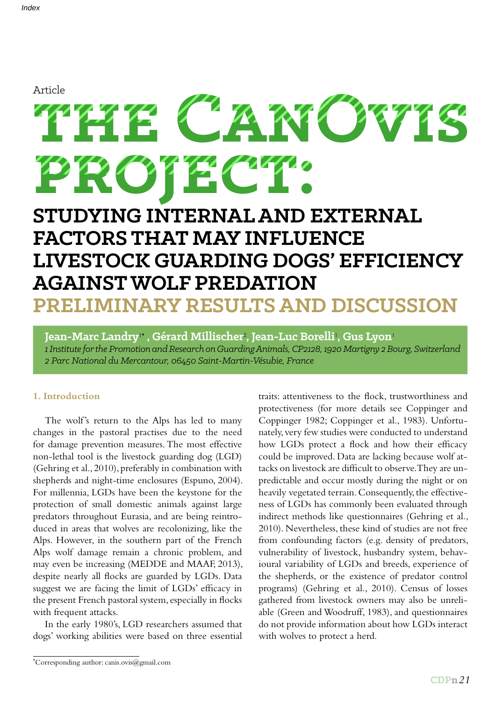#### Article

# **the CanOvis** project: City **STUDYING INTERNAL AND EXTERNAL FACTORS THAT MAY INFLUENCE**  Article<br> **21 INCONSTRATE CONTRATE SERVICE SERVICE SERVICE SERVICE SERVICE SERVICE SERVICE SERVICE SERVICE SERVICE SERVICE SERVICE SERVICE SERVICE SERVICE SERVICE SERVICE SERVICE SERVICE SERVICE SERVICE SERVICE SERVICE SERV**

# **LIVESTOCK GUARDING DOGS' EFFICIENCY AGAINST WOLF PREDATION PRELIMINARY RESULTS AND DISCUSSION**

**Jean-Marc Landry**1\* **, Gérard Millischer**<sup>2</sup> **, Jean-Luc Borelli**<sup>1</sup> **, Gus Lyon**<sup>1</sup> *1 Institute for the Promotion and Research on Guarding Animals, CP2128, 1920 Martigny 2 Bourg, Switzerland 2 Parc National du Mercantour, 06450 Saint-Martin-Vésubie, France*

#### **1. Introduction**

The wolf's return to the Alps has led to many changes in the pastoral practises due to the need for damage prevention measures. The most effective non-lethal tool is the livestock guarding dog (LGD) (Gehring et al., 2010), preferably in combination with shepherds and night-time enclosures (Espuno, 2004). For millennia, LGDs have been the keystone for the protection of small domestic animals against large predators throughout Eurasia, and are being reintroduced in areas that wolves are recolonizing, like the Alps. However, in the southern part of the French Alps wolf damage remain a chronic problem, and may even be increasing (MEDDE and MAAF, 2013), despite nearly all flocks are guarded by LGDs. Data suggest we are facing the limit of LGDs' efficacy in the present French pastoral system, especially in flocks with frequent attacks.

In the early 1980's, LGD researchers assumed that dogs' working abilities were based on three essential

\* Corresponding author: canis.ovis@gmail.com

traits: attentiveness to the flock, trustworthiness and protectiveness (for more details see Coppinger and Coppinger 1982; Coppinger et al., 1983). Unfortunately, very few studies were conducted to understand how LGDs protect a flock and how their efficacy could be improved. Data are lacking because wolf attacks on livestock are difficult to observe. They are unpredictable and occur mostly during the night or on heavily vegetated terrain. Consequently, the effectiveness of LGDs has commonly been evaluated through indirect methods like questionnaires (Gehring et al., 2010). Nevertheless, these kind of studies are not free from confounding factors (e.g. density of predators, vulnerability of livestock, husbandry system, behavioural variability of LGDs and breeds, experience of the shepherds, or the existence of predator control programs) (Gehring et al., 2010). Census of losses gathered from livestock owners may also be unreliable (Green and Woodruff, 1983), and questionnaires do not provide information about how LGDs interact with wolves to protect a herd.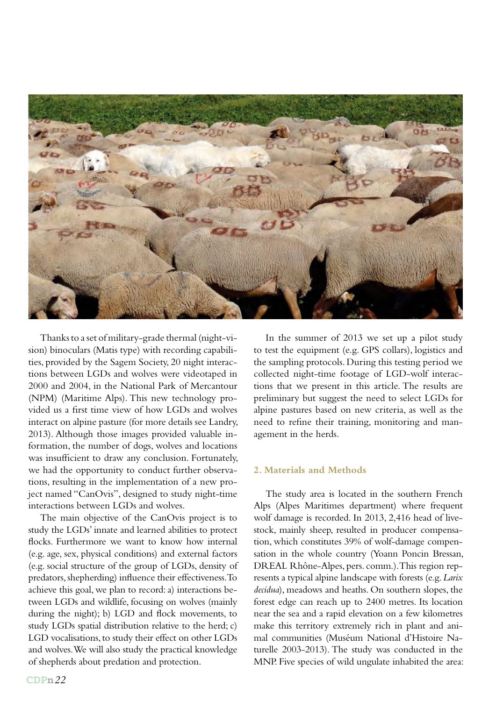

Thanks to a set of military-grade thermal (night-vision) binoculars (Matis type) with recording capabilities, provided by the Sagem Society, 20 night interactions between LGDs and wolves were videotaped in 2000 and 2004, in the National Park of Mercantour (NPM) (Maritime Alps). This new technology provided us a first time view of how LGDs and wolves interact on alpine pasture (for more details see Landry, 2013). Although those images provided valuable information, the number of dogs, wolves and locations was insufficient to draw any conclusion. Fortunately, we had the opportunity to conduct further observations, resulting in the implementation of a new project named "CanOvis", designed to study night-time interactions between LGDs and wolves.

The main objective of the CanOvis project is to study the LGDs' innate and learned abilities to protect flocks. Furthermore we want to know how internal (e.g. age, sex, physical conditions) and external factors (e.g. social structure of the group of LGDs, density of predators, shepherding) influence their effectiveness. To achieve this goal, we plan to record: a) interactions between LGDs and wildlife, focusing on wolves (mainly during the night); b) LGD and flock movements, to study LGDs spatial distribution relative to the herd; c) LGD vocalisations, to study their effect on other LGDs and wolves. We will also study the practical knowledge of shepherds about predation and protection.

In the summer of 2013 we set up a pilot study to test the equipment (e.g. GPS collars), logistics and the sampling protocols. During this testing period we collected night-time footage of LGD-wolf interactions that we present in this article. The results are preliminary but suggest the need to select LGDs for alpine pastures based on new criteria, as well as the need to refine their training, monitoring and management in the herds.

#### **2. Materials and Methods**

The study area is located in the southern French Alps (Alpes Maritimes department) where frequent wolf damage is recorded. In 2013, 2,416 head of livestock, mainly sheep, resulted in producer compensation, which constitutes 39% of wolf-damage compensation in the whole country (Yoann Poncin Bressan, DREAL Rhône-Alpes, pers. comm.). This region represents a typical alpine landscape with forests (e.g. *Larix decidua*), meadows and heaths. On southern slopes, the forest edge can reach up to 2400 metres. Its location near the sea and a rapid elevation on a few kilometres make this territory extremely rich in plant and animal communities (Muséum National d'Histoire Naturelle 2003-2013). The study was conducted in the MNP. Five species of wild ungulate inhabited the area: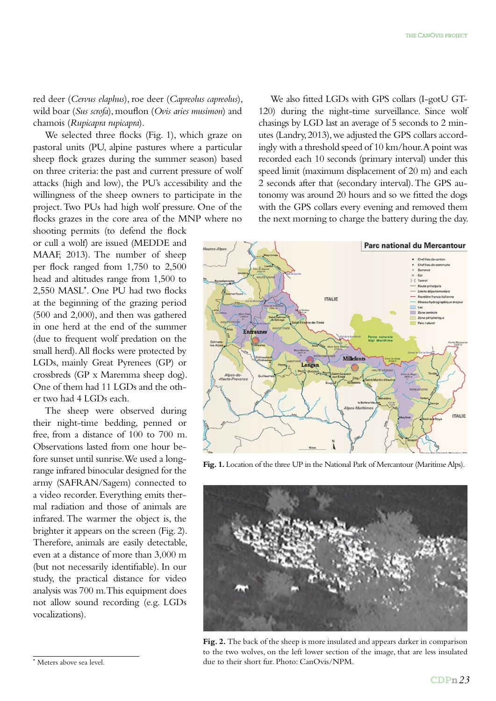red deer (*Cervus elaphus*), roe deer (*Capreolus capreolus*), wild boar (*Sus scrofa*), mouflon (*Ovis aries musimon*) and chamois (*Rupicapra rupicapra*).

We selected three flocks (Fig. 1), which graze on pastoral units (PU, alpine pastures where a particular sheep flock grazes during the summer season) based on three criteria: the past and current pressure of wolf attacks (high and low), the PU's accessibility and the willingness of the sheep owners to participate in the project. Two PUs had high wolf pressure. One of the flocks grazes in the core area of the MNP where no

shooting permits (to defend the flock or cull a wolf) are issued (MEDDE and MAAF, 2013). The number of sheep per flock ranged from 1,750 to 2,500 head and altitudes range from 1,500 to 2,550 MASL\* . One PU had two flocks at the beginning of the grazing period (500 and 2,000), and then was gathered in one herd at the end of the summer (due to frequent wolf predation on the small herd). All flocks were protected by LGDs, mainly Great Pyrenees (GP) or crossbreds (GP x Maremma sheep dog). One of them had 11 LGDs and the other two had 4 LGDs each.

The sheep were observed during their night-time bedding, penned or free, from a distance of 100 to 700 m. Observations lasted from one hour before sunset until sunrise. We used a longrange infrared binocular designed for the army (SAFRAN/Sagem) connected to a video recorder. Everything emits thermal radiation and those of animals are infrared. The warmer the object is, the brighter it appears on the screen (Fig. 2). Therefore, animals are easily detectable, even at a distance of more than 3,000 m (but not necessarily identifiable). In our study, the practical distance for video analysis was 700 m. This equipment does not allow sound recording (e.g. LGDs vocalizations).

We also fitted LGDs with GPS collars (I-gotU GT-120) during the night-time surveillance. Since wolf chasings by LGD last an average of 5 seconds to 2 minutes (Landry, 2013), we adjusted the GPS collars accordingly with a threshold speed of 10 km/hour. A point was recorded each 10 seconds (primary interval) under this speed limit (maximum displacement of 20 m) and each 2 seconds after that (secondary interval). The GPS autonomy was around 20 hours and so we fitted the dogs with the GPS collars every evening and removed them the next morning to charge the battery during the day.



Fig. 1. Location of the three UP in the National Park of Mercantour (Maritime Alps).



Fig. 2. The back of the sheep is more insulated and appears darker in comparison to the two wolves, on the left lower section of the image, that are less insulated due to their short fur. Photo: CanOvis/NPM.

<sup>\*</sup> Meters above sea level.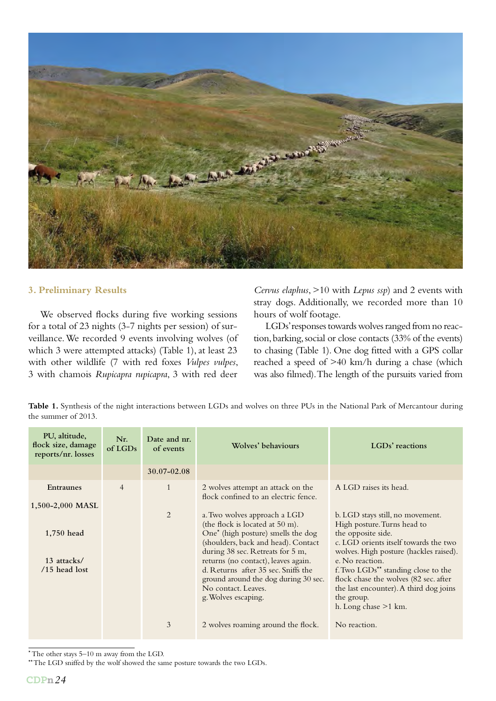

#### **3. Preliminary Results**

We observed flocks during five working sessions for a total of 23 nights (3-7 nights per session) of surveillance. We recorded 9 events involving wolves (of which 3 were attempted attacks) (Table 1), at least 23 with other wildlife (7 with red foxes *Vulpes vulpes*, 3 with chamois *Rupicapra rupicapra*, 3 with red deer

*Cervus elaphus*, >10 with *Lepus ssp*) and 2 events with stray dogs. Additionally, we recorded more than 10 hours of wolf footage.

LGDs' responses towards wolves ranged from no reaction, barking, social or close contacts (33% of the events) to chasing (Table 1). One dog fitted with a GPS collar reached a speed of >40 km/h during a chase (which was also filmed). The length of the pursuits varied from

**Table 1.** Synthesis of the night interactions between LGDs and wolves on three PUs in the National Park of Mercantour during the summer of 2013.

| PU, altitude,<br>flock size, damage<br>reports/nr. losses | Nr.<br>of LGDs | Date and nr.<br>of events | Wolves' behaviours                                                                                                                                               | LGDs' reactions                                                                                                                                                                               |
|-----------------------------------------------------------|----------------|---------------------------|------------------------------------------------------------------------------------------------------------------------------------------------------------------|-----------------------------------------------------------------------------------------------------------------------------------------------------------------------------------------------|
|                                                           |                | $30.07 - 02.08$           |                                                                                                                                                                  |                                                                                                                                                                                               |
| <b>Entraunes</b><br>$1,500-2,000$ MASL                    | $\overline{4}$ | $\mathbf{1}$              | 2 wolves attempt an attack on the<br>flock confined to an electric fence.                                                                                        | A LGD raises its head.                                                                                                                                                                        |
|                                                           |                | 2                         | a. Two wolves approach a LGD<br>(the flock is located at 50 m).                                                                                                  | b. LGD stays still, no movement.<br>High posture. Turns head to                                                                                                                               |
| 1,750 head                                                |                |                           | One <sup>*</sup> (high posture) smells the dog<br>(shoulders, back and head). Contact<br>during 38 sec. Retreats for 5 m,                                        | the opposite side.<br>c. LGD orients itself towards the two<br>wolves. High posture (hackles raised).                                                                                         |
| 13 attacks/<br>$/15$ head lost                            |                |                           | returns (no contact), leaves again.<br>d. Returns after 35 sec. Sniffs the<br>ground around the dog during 30 sec.<br>No contact. Leaves.<br>g. Wolves escaping. | e. No reaction.<br>f. Two $LOGDs^{\star\star}$ standing close to the<br>flock chase the wolves (82 sec. after<br>the last encounter). A third dog joins<br>the group.<br>h. Long chase >1 km. |
|                                                           |                | 3                         | 2 wolves roaming around the flock.                                                                                                                               | No reaction.                                                                                                                                                                                  |

\* The other stays 5–10 m away from the LGD.

\*\* The LGD sniffed by the wolf showed the same posture towards the two LGDs.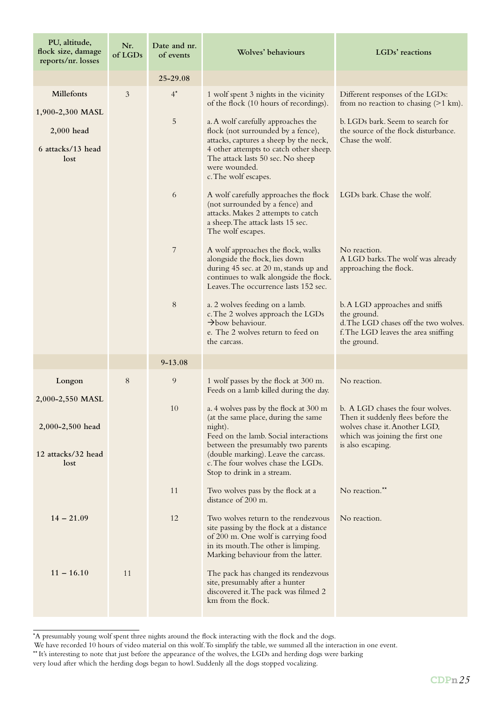| PU, altitude,<br>flock size, damage<br>reports/nr. losses          | Nr.<br>of LGDs | Date and nr.<br>of events | Wolves' behaviours                                                                                                                                                                                                                                                                                                   | LGDs' reactions                                                                                                                              |
|--------------------------------------------------------------------|----------------|---------------------------|----------------------------------------------------------------------------------------------------------------------------------------------------------------------------------------------------------------------------------------------------------------------------------------------------------------------|----------------------------------------------------------------------------------------------------------------------------------------------|
|                                                                    |                | 25-29.08                  |                                                                                                                                                                                                                                                                                                                      |                                                                                                                                              |
| Millefonts<br>1,900-2,300 MASL                                     | 3              | $4^{\star}$               | 1 wolf spent 3 nights in the vicinity<br>of the flock (10 hours of recordings).                                                                                                                                                                                                                                      | Different responses of the LGDs:<br>from no reaction to chasing $(>1 \text{ km})$ .                                                          |
| $2,000$ head<br>6 attacks/13 head<br>lost                          |                | 5                         | a. A wolf carefully approaches the<br>flock (not surrounded by a fence),<br>attacks, captures a sheep by the neck,<br>4 other attempts to catch other sheep.<br>The attack lasts 50 sec. No sheep<br>were wounded.<br>c. The wolf escapes.                                                                           | b. LGDs bark. Seem to search for<br>the source of the flock disturbance.<br>Chase the wolf.                                                  |
|                                                                    |                | 6                         | A wolf carefully approaches the flock<br>(not surrounded by a fence) and<br>attacks. Makes 2 attempts to catch<br>a sheep. The attack lasts 15 sec.<br>The wolf escapes.                                                                                                                                             | LGDs bark. Chase the wolf.                                                                                                                   |
|                                                                    |                | 7                         | A wolf approaches the flock, walks<br>alongside the flock, lies down<br>during 45 sec. at 20 m, stands up and<br>continues to walk alongside the flock.<br>Leaves. The occurrence lasts 152 sec.                                                                                                                     | No reaction.<br>A LGD barks. The wolf was already<br>approaching the flock.                                                                  |
|                                                                    |                | 8                         | a. 2 wolves feeding on a lamb.<br>c. The 2 wolves approach the LGDs<br>$\rightarrow$ bow behaviour.<br>e. The 2 wolves return to feed on<br>the carcass.                                                                                                                                                             | b. A LGD approaches and sniffs<br>the ground.<br>d. The LGD chases off the two wolves.<br>f. The LGD leaves the area sniffing<br>the ground. |
|                                                                    |                | $9 - 13.08$               |                                                                                                                                                                                                                                                                                                                      |                                                                                                                                              |
| Longon                                                             | 8              | 9                         | 1 wolf passes by the flock at 300 m.<br>Feeds on a lamb killed during the day.                                                                                                                                                                                                                                       | No reaction.                                                                                                                                 |
| 2,000-2,550 MASL<br>2,000-2,500 head<br>12 attacks/32 head<br>lost |                | 10                        | a. 4 wolves pass by the flock at 300 m b. A LGD chases the four wolves.<br>(at the same place, during the same<br>night).<br>Feed on the lamb. Social interactions<br>between the presumably two parents<br>(double marking). Leave the carcass.<br>c. The four wolves chase the LGDs.<br>Stop to drink in a stream. | Then it suddenly flees before the<br>wolves chase it. Another LGD,<br>which was joining the first one<br>is also escaping.                   |
|                                                                    |                | 11                        | Two wolves pass by the flock at a<br>distance of 200 m.                                                                                                                                                                                                                                                              | No reaction.**                                                                                                                               |
| $14 - 21.09$                                                       |                | 12                        | Two wolves return to the rendezvous<br>site passing by the flock at a distance<br>of 200 m. One wolf is carrying food<br>in its mouth. The other is limping.<br>Marking behaviour from the latter.                                                                                                                   | No reaction.                                                                                                                                 |
| $11 - 16.10$                                                       | 11             |                           | The pack has changed its rendezvous<br>site, presumably after a hunter<br>discovered it. The pack was filmed 2<br>km from the flock.                                                                                                                                                                                 |                                                                                                                                              |

<sup>\*</sup> A presumably young wolf spent three nights around the flock interacting with the flock and the dogs.

We have recorded 10 hours of video material on this wolf. To simplify the table, we summed all the interaction in one event.

<sup>\*\*</sup> It's interesting to note that just before the appearance of the wolves, the LGDs and herding dogs were barking

very loud after which the herding dogs began to howl. Suddenly all the dogs stopped vocalizing.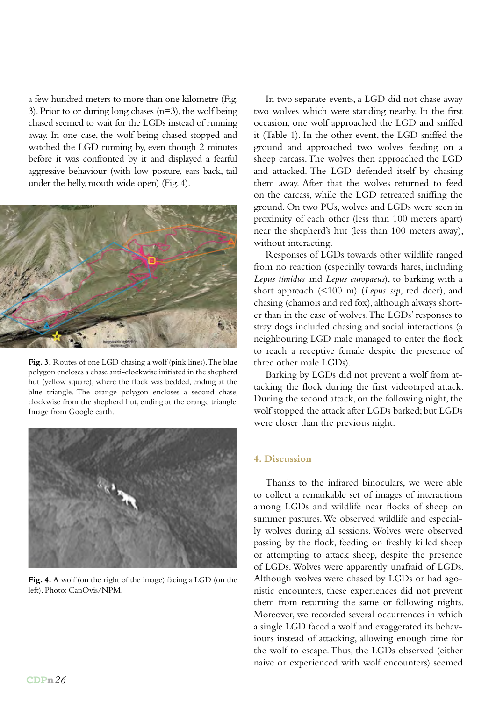a few hundred meters to more than one kilometre (Fig. 3). Prior to or during long chases  $(n=3)$ , the wolf being chased seemed to wait for the LGDs instead of running away. In one case, the wolf being chased stopped and watched the LGD running by, even though 2 minutes before it was confronted by it and displayed a fearful aggressive behaviour (with low posture, ears back, tail under the belly, mouth wide open) (Fig. 4).



Fig. 3. Routes of one LGD chasing a wolf (pink lines). The blue polygon encloses a chase anti-clockwise initiated in the shepherd hut (yellow square), where the flock was bedded, ending at the blue triangle. The orange polygon encloses a second chase, clockwise from the shepherd hut, ending at the orange triangle. Image from Google earth.



**Fig. 4.** A wolf (on the right of the image) facing a LGD (on the left). Photo: CanOvis/NPM.

In two separate events, a LGD did not chase away two wolves which were standing nearby. In the first occasion, one wolf approached the LGD and sniffed it (Table 1). In the other event, the LGD sniffed the ground and approached two wolves feeding on a sheep carcass. The wolves then approached the LGD and attacked. The LGD defended itself by chasing them away. After that the wolves returned to feed on the carcass, while the LGD retreated sniffing the ground. On two PUs, wolves and LGDs were seen in proximity of each other (less than 100 meters apart) near the shepherd's hut (less than 100 meters away), without interacting.

Responses of LGDs towards other wildlife ranged from no reaction (especially towards hares, including *Lepus timidus* and *Lepus europaeus*), to barking with a short approach (<100 m) (*Lepus ssp*, red deer), and chasing (chamois and red fox), although always shorter than in the case of wolves. The LGDs' responses to stray dogs included chasing and social interactions (a neighbouring LGD male managed to enter the flock to reach a receptive female despite the presence of three other male LGDs).

Barking by LGDs did not prevent a wolf from attacking the flock during the first videotaped attack. During the second attack, on the following night, the wolf stopped the attack after LGDs barked; but LGDs were closer than the previous night.

#### **4. Discussion**

Thanks to the infrared binoculars, we were able to collect a remarkable set of images of interactions among LGDs and wildlife near flocks of sheep on summer pastures. We observed wildlife and especially wolves during all sessions. Wolves were observed passing by the flock, feeding on freshly killed sheep or attempting to attack sheep, despite the presence of LGDs. Wolves were apparently unafraid of LGDs. Although wolves were chased by LGDs or had agonistic encounters, these experiences did not prevent them from returning the same or following nights. Moreover, we recorded several occurrences in which a single LGD faced a wolf and exaggerated its behaviours instead of attacking, allowing enough time for the wolf to escape. Thus, the LGDs observed (either naive or experienced with wolf encounters) seemed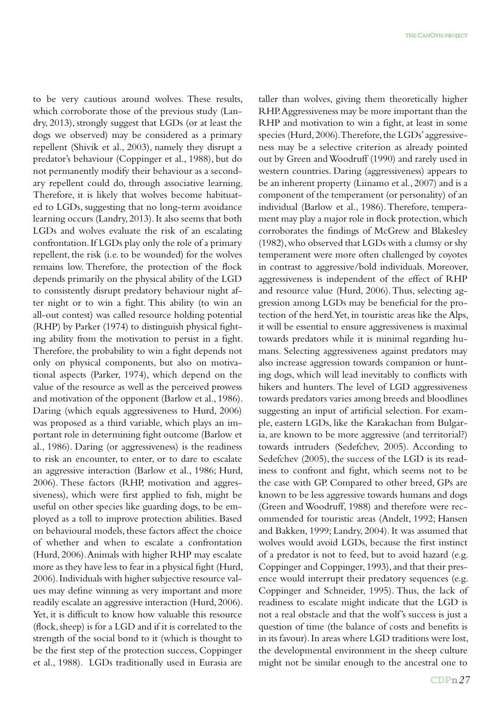to be very cautious around wolves. These results, which corroborate those of the previous study (Landry, 2013), strongly suggest that LGDs (or at least the dogs we observed) may be considered as a primary repellent (Shivik et al., 2003), namely they disrupt a predator's behaviour (Coppinger et al., 1988), but do not permanently modify their behaviour as a secondary repellent could do, through associative learning. Therefore, it is likely that wolves become habituated to LGDs, suggesting that no long-term avoidance learning occurs (Landry, 2013). It also seems that both LGDs and wolves evaluate the risk of an escalating confrontation. If LGDs play only the role of a primary repellent, the risk (i.e. to be wounded) for the wolves remains low. Therefore, the protection of the flock depends primarily on the physical ability of the LGD to consistently disrupt predatory behaviour night after night or to win a fight. This ability (to win an all-out contest) was called resource holding potential (RHP) by Parker (1974) to distinguish physical fighting ability from the motivation to persist in a fight. Therefore, the probability to win a fight depends not only on physical components, but also on motivational aspects (Parker, 1974), which depend on the value of the resource as well as the perceived prowess and motivation of the opponent (Barlow et al., 1986). Daring (which equals aggressiveness to Hurd, 2006) was proposed as a third variable, which plays an important role in determining fight outcome (Barlow et al., 1986). Daring (or aggressiveness) is the readiness to risk an encounter, to enter, or to dare to escalate an aggressive interaction (Barlow et al., 1986; Hurd, 2006). These factors (RHP, motivation and aggressiveness), which were first applied to fish, might be useful on other species like guarding dogs, to be employed as a toll to improve protection abilities. Based on behavioural models, these factors affect the choice of whether and when to escalate a confrontation (Hurd, 2006). Animals with higher RHP may escalate more as they have less to fear in a physical fight (Hurd, 2006). Individuals with higher subjective resource values may define winning as very important and more readily escalate an aggressive interaction (Hurd, 2006). Yet, it is difficult to know how valuable this resource (flock, sheep) is for a LGD and if it is correlated to the strength of the social bond to it (which is thought to be the first step of the protection success, Coppinger et al., 1988). LGDs traditionally used in Eurasia are

taller than wolves, giving them theoretically higher RHP. Aggressiveness may be more important than the RHP and motivation to win a fight, at least in some species (Hurd, 2006). Therefore, the LGDs' aggressiveness may be a selective criterion as already pointed out by Green and Woodruff (1990) and rarely used in western countries. Daring (aggressiveness) appears to be an inherent property (Liinamo et al., 2007) and is a component of the temperament (or personality) of an individual (Barlow et al., 1986). Therefore, temperament may play a major role in flock protection, which corroborates the findings of McGrew and Blakesley (1982), who observed that LGDs with a clumsy or shy temperament were more often challenged by coyotes in contrast to aggressive/bold individuals. Moreover, aggressiveness is independent of the effect of RHP and resource value (Hurd, 2006). Thus, selecting aggression among LGDs may be beneficial for the protection of the herd. Yet, in touristic areas like the Alps, it will be essential to ensure aggressiveness is maximal towards predators while it is minimal regarding humans. Selecting aggressiveness against predators may also increase aggression towards companion or hunting dogs, which will lead inevitably to conflicts with hikers and hunters. The level of LGD aggressiveness towards predators varies among breeds and bloodlines suggesting an input of artificial selection. For example, eastern LGDs, like the Karakachan from Bulgaria, are known to be more aggressive (and territorial?) towards intruders (Sedefchev, 2005). According to Sedefchev (2005), the success of the LGD is its readiness to confront and fight, which seems not to be the case with GP. Compared to other breed, GPs are known to be less aggressive towards humans and dogs (Green and Woodruff, 1988) and therefore were recommended for touristic areas (Andelt, 1992; Hansen and Bakken, 1999; Landry, 2004). It was assumed that wolves would avoid LGDs, because the first instinct of a predator is not to feed, but to avoid hazard (e.g. Coppinger and Coppinger, 1993), and that their presence would interrupt their predatory sequences (e.g. Coppinger and Schneider, 1995). Thus, the lack of readiness to escalate might indicate that the LGD is not a real obstacle and that the wolf's success is just a question of time (the balance of costs and benefits is in its favour). In areas where LGD traditions were lost, the developmental environment in the sheep culture might not be similar enough to the ancestral one to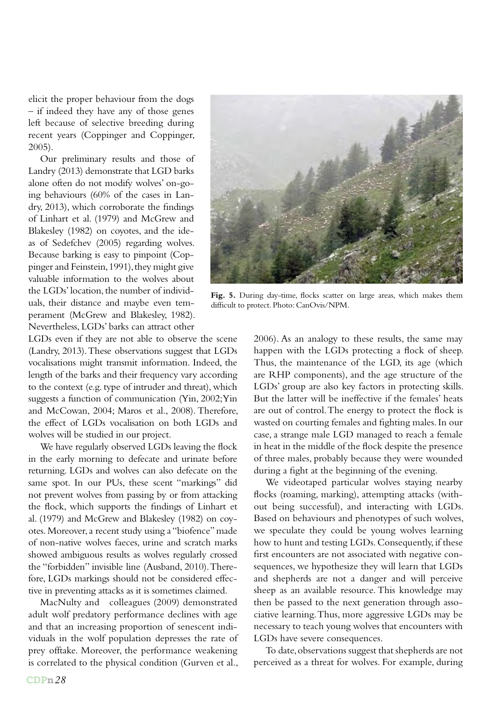elicit the proper behaviour from the dogs – if indeed they have any of those genes left because of selective breeding during recent years (Coppinger and Coppinger, 2005).

Our preliminary results and those of Landry (2013) demonstrate that LGD barks alone often do not modify wolves' on-going behaviours (60% of the cases in Landry, 2013), which corroborate the findings of Linhart et al. (1979) and McGrew and Blakesley (1982) on coyotes, and the ideas of Sedefchev (2005) regarding wolves. Because barking is easy to pinpoint (Coppinger and Feinstein, 1991), they might give valuable information to the wolves about the LGDs' location, the number of individuals, their distance and maybe even temperament (McGrew and Blakesley, 1982). Nevertheless, LGDs' barks can attract other

LGDs even if they are not able to observe the scene (Landry, 2013). These observations suggest that LGDs vocalisations might transmit information. Indeed, the length of the barks and their frequency vary according to the context (e.g. type of intruder and threat), which suggests a function of communication (Yin, 2002; Yin and McCowan, 2004; Maros et al., 2008). Therefore, the effect of LGDs vocalisation on both LGDs and wolves will be studied in our project.

We have regularly observed LGDs leaving the flock in the early morning to defecate and urinate before returning. LGDs and wolves can also defecate on the same spot. In our PUs, these scent "markings" did not prevent wolves from passing by or from attacking the flock, which supports the findings of Linhart et al. (1979) and McGrew and Blakesley (1982) on coyotes. Moreover, a recent study using a "biofence" made of non-native wolves faeces, urine and scratch marks showed ambiguous results as wolves regularly crossed the "forbidden" invisible line (Ausband, 2010). Therefore, LGDs markings should not be considered effective in preventing attacks as it is sometimes claimed.

MacNulty and colleagues (2009) demonstrated adult wolf predatory performance declines with age and that an increasing proportion of senescent individuals in the wolf population depresses the rate of prey offtake. Moreover, the performance weakening is correlated to the physical condition (Gurven et al.,



Fig. 5. During day-time, flocks scatter on large areas, which makes them difficult to protect. Photo: CanOvis/NPM.

2006). As an analogy to these results, the same may happen with the LGDs protecting a flock of sheep. Thus, the maintenance of the LGD, its age (which are RHP components), and the age structure of the LGDs' group are also key factors in protecting skills. But the latter will be ineffective if the females' heats are out of control. The energy to protect the flock is wasted on courting females and fighting males. In our case, a strange male LGD managed to reach a female in heat in the middle of the flock despite the presence of three males, probably because they were wounded during a fight at the beginning of the evening.

We videotaped particular wolves staying nearby flocks (roaming, marking), attempting attacks (without being successful), and interacting with LGDs. Based on behaviours and phenotypes of such wolves, we speculate they could be young wolves learning how to hunt and testing LGDs. Consequently, if these first encounters are not associated with negative consequences, we hypothesize they will learn that LGDs and shepherds are not a danger and will perceive sheep as an available resource. This knowledge may then be passed to the next generation through associative learning. Thus, more aggressive LGDs may be necessary to teach young wolves that encounters with LGDs have severe consequences.

To date, observations suggest that shepherds are not perceived as a threat for wolves. For example, during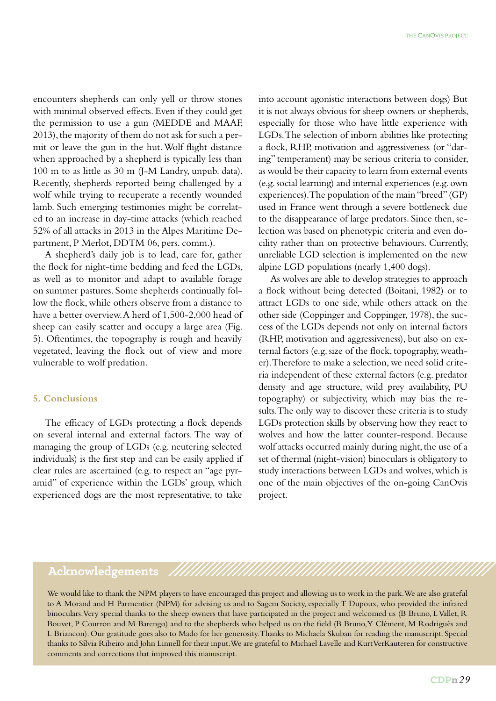encounters shepherds can only yell or throw stones with minimal observed effects. Even if they could get the permission to use a gun (MEDDE and MAAF, 2013), the majority of them do not ask for such a permit or leave the gun in the hut. Wolf flight distance when approached by a shepherd is typically less than 100 m to as little as 30 m (J-M Landry, unpub. data). Recently, shepherds reported being challenged by a wolf while trying to recuperate a recently wounded lamb. Such emerging testimonies might be correlated to an increase in day-time attacks (which reached 52% of all attacks in 2013 in the Alpes Maritime Department, P Merlot, DDTM 06, pers. comm.).

A shepherd's daily job is to lead, care for, gather the flock for night-time bedding and feed the LGDs, as well as to monitor and adapt to available forage on summer pastures. Some shepherds continually follow the flock, while others observe from a distance to have a better overview. A herd of 1,500-2,000 head of sheep can easily scatter and occupy a large area (Fig. 5). Oftentimes, the topography is rough and heavily vegetated, leaving the flock out of view and more vulnerable to wolf predation.

#### **5. Conclusions**

The efficacy of LGDs protecting a flock depends on several internal and external factors. The way of managing the group of LGDs (e.g. neutering selected individuals) is the first step and can be easily applied if clear rules are ascertained (e.g. to respect an "age pyramid" of experience within the LGDs' group, which experienced dogs are the most representative, to take

into account agonistic interactions between dogs) But it is not always obvious for sheep owners or shepherds, especially for those who have little experience with LGDs. The selection of inborn abilities like protecting a flock, RHP, motivation and aggressiveness (or "daring" temperament) may be serious criteria to consider, as would be their capacity to learn from external events (e.g. social learning) and internal experiences (e.g. own experiences). The population of the main "breed" (GP) used in France went through a severe bottleneck due to the disappearance of large predators. Since then, selection was based on phenotypic criteria and even docility rather than on protective behaviours. Currently, unreliable LGD selection is implemented on the new alpine LGD populations (nearly 1,400 dogs).

As wolves are able to develop strategies to approach a flock without being detected (Boitani, 1982) or to attract LGDs to one side, while others attack on the other side (Coppinger and Coppinger, 1978), the success of the LGDs depends not only on internal factors (RHP, motivation and aggressiveness), but also on external factors (e.g. size of the flock, topography, weather). Therefore to make a selection, we need solid criteria independent of these external factors (e.g. predator density and age structure, wild prey availability, PU topography) or subjectivity, which may bias the results. The only way to discover these criteria is to study LGDs protection skills by observing how they react to wolves and how the latter counter-respond. Because wolf attacks occurred mainly during night, the use of a set of thermal (night-vision) binoculars is obligatory to study interactions between LGDs and wolves, which is one of the main objectives of the on-going CanOvis project.

#### **Acknowledgements**

We would like to thank the NPM players to have encouraged this project and allowing us to work in the park. We are also grateful to A Morand and H Parmentier (NPM) for advising us and to Sagem Society, especially T Dupoux, who provided the infrared binoculars. Very special thanks to the sheep owners that have participated in the project and welcomed us (B Bruno, L Vallet, R Bouvet, P Courron and M Barengo) and to the shepherds who helped us on the field (B Bruno, Y Clément, M Rodriguès and L Briancon). Our gratitude goes also to Mado for her generosity. Thanks to Michaela Skuban for reading the manuscript. Special thanks to Sílvia Ribeiro and John Linnell for their input. We are grateful to Michael Lavelle and Kurt VerKauteren for constructive comments and corrections that improved this manuscript.